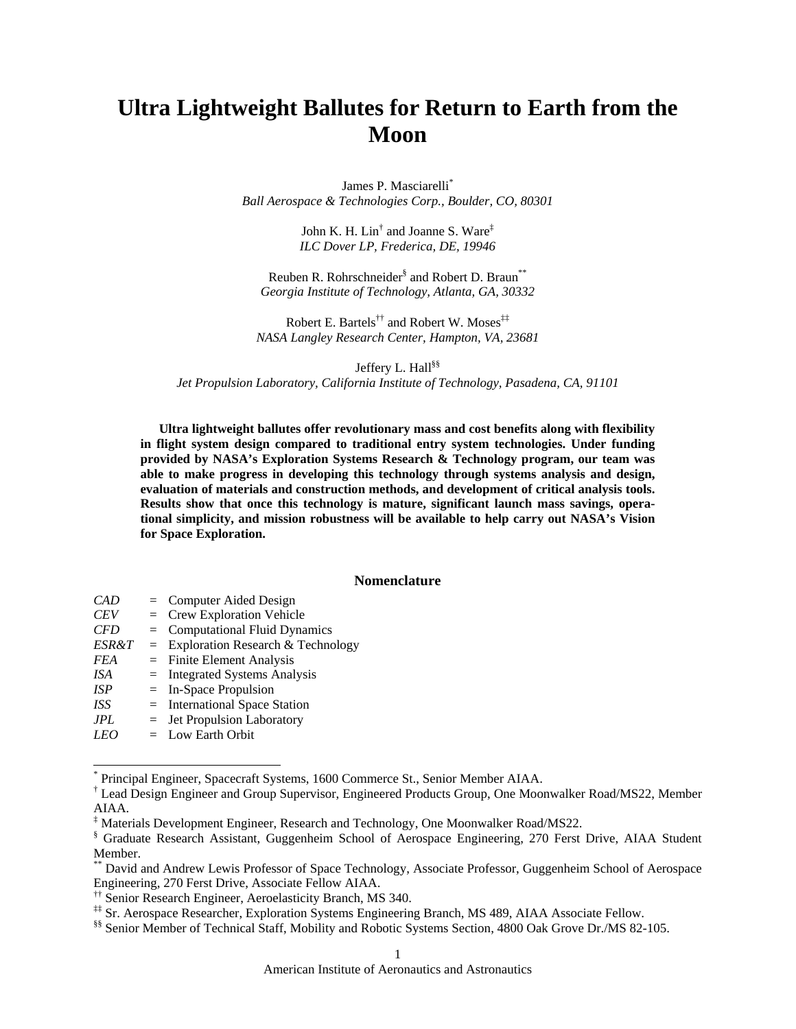# **Ultra Lightweight Ballutes for Return to Earth from the Moon**

James P. Masciarelli\* *Ball Aerospace & Technologies Corp., Boulder, CO, 80301* 

> John K. H.  $Lin^{\dagger}$  and Joanne S. Ware $^{\ddagger}$ *ILC Dover LP, Frederica, DE, 19946*

Reuben R. Rohrschneider<sup>§</sup> and Robert D. Braun<sup>\*\*</sup> *Georgia Institute of Technology, Atlanta, GA, 30332* 

Robert E. Bartels†† and Robert W. Moses‡‡ *NASA Langley Research Center, Hampton, VA, 23681* 

Jeffery L. Hall§§ *Jet Propulsion Laboratory, California Institute of Technology, Pasadena, CA, 91101* 

**Ultra lightweight ballutes offer revolutionary mass and cost benefits along with flexibility in flight system design compared to traditional entry system technologies. Under funding provided by NASA's Exploration Systems Research & Technology program, our team was able to make progress in developing this technology through systems analysis and design, evaluation of materials and construction methods, and development of critical analysis tools. Results show that once this technology is mature, significant launch mass savings, operational simplicity, and mission robustness will be available to help carry out NASA's Vision for Space Exploration.** 

### **Nomenclature**

| CAD        |     | $=$ Computer Aided Design             |
|------------|-----|---------------------------------------|
| <b>CEV</b> |     | $=$ Crew Exploration Vehicle          |
| <b>CFD</b> |     | $=$ Computational Fluid Dynamics      |
| ESR&T      |     | $=$ Exploration Research & Technology |
| FEA        |     | $=$ Finite Element Analysis           |
| ISA        |     | $=$ Integrated Systems Analysis       |
| <b>ISP</b> |     | $=$ In-Space Propulsion               |
| ISS        |     | $=$ International Space Station       |
| <b>JPL</b> | $=$ | Jet Propulsion Laboratory             |
| <i>LEO</i> |     | $=$ Low Earth Orbit                   |

 $\overline{a}$ 

<sup>\*</sup> Principal Engineer, Spacecraft Systems, 1600 Commerce St., Senior Member AIAA.

<sup>†</sup> Lead Design Engineer and Group Supervisor, Engineered Products Group, One Moonwalker Road/MS22, Member AIAA.

<sup>‡</sup> Materials Development Engineer, Research and Technology, One Moonwalker Road/MS22.

<sup>§</sup> Graduate Research Assistant, Guggenheim School of Aerospace Engineering, 270 Ferst Drive, AIAA Student Member.

David and Andrew Lewis Professor of Space Technology, Associate Professor, Guggenheim School of Aerospace Engineering, 270 Ferst Drive, Associate Fellow AIAA.

<sup>&</sup>lt;sup>††</sup> Senior Research Engineer, Aeroelasticity Branch, MS 340.

<sup>&</sup>lt;sup>‡‡</sup> Sr. Aerospace Researcher, Exploration Systems Engineering Branch, MS 489, AIAA Associate Fellow.

<sup>§§</sup> Senior Member of Technical Staff, Mobility and Robotic Systems Section, 4800 Oak Grove Dr./MS 82-105.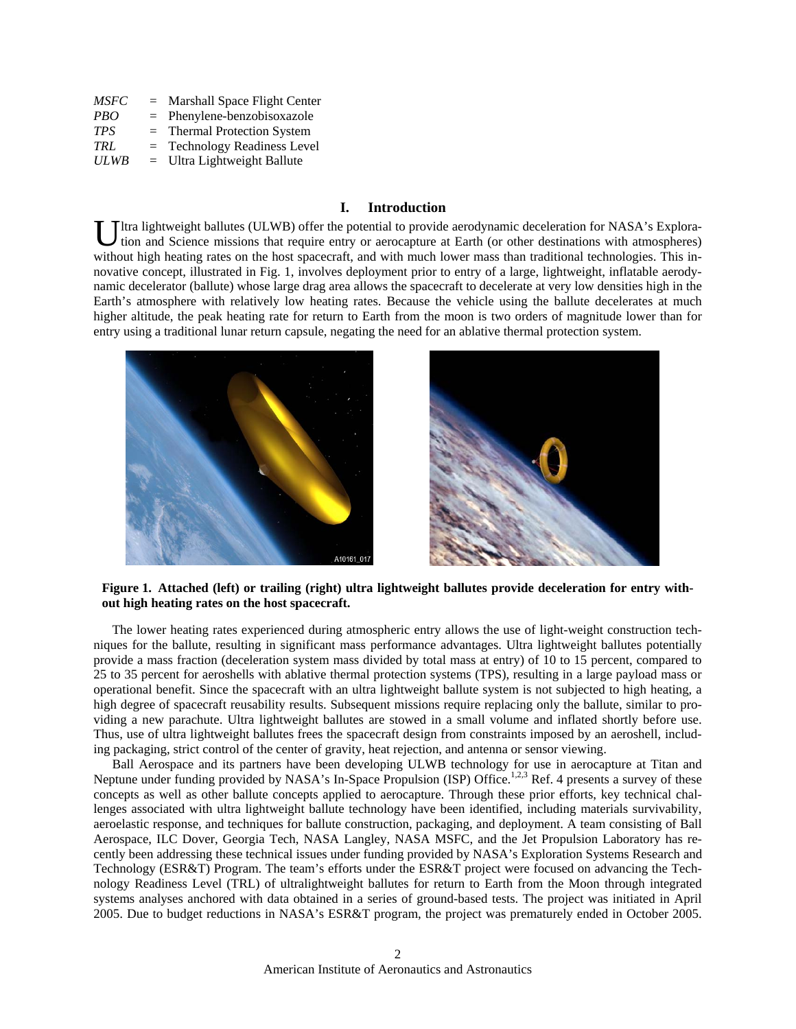| <b>MSFC</b> | $=$ | Marshall Space Flight Center      |
|-------------|-----|-----------------------------------|
| <b>PBO</b>  |     | = Phenylene-benzobisoxazole       |
| <b>TPS</b>  |     | $=$ Thermal Protection System     |
| <b>TRL</b>  | $=$ | <b>Technology Readiness Level</b> |
| <b>ULWB</b> | $=$ | Ultra Lightweight Ballute         |

## **I. Introduction**

Ultra lightweight ballutes (ULWB) offer the potential to provide aerodynamic deceleration for NASA's Exploration and Science missions that require entry or aerocapture at Earth (or other destinations with atmospheres) tion and Science missions that require entry or aerocapture at Earth (or other destinations with atmospheres) without high heating rates on the host spacecraft, and with much lower mass than traditional technologies. This innovative concept, illustrated in Fig. 1, involves deployment prior to entry of a large, lightweight, inflatable aerodynamic decelerator (ballute) whose large drag area allows the spacecraft to decelerate at very low densities high in the Earth's atmosphere with relatively low heating rates. Because the vehicle using the ballute decelerates at much higher altitude, the peak heating rate for return to Earth from the moon is two orders of magnitude lower than for entry using a traditional lunar return capsule, negating the need for an ablative thermal protection system.





**Figure 1. Attached (left) or trailing (right) ultra lightweight ballutes provide deceleration for entry without high heating rates on the host spacecraft.** 

The lower heating rates experienced during atmospheric entry allows the use of light-weight construction techniques for the ballute, resulting in significant mass performance advantages. Ultra lightweight ballutes potentially provide a mass fraction (deceleration system mass divided by total mass at entry) of 10 to 15 percent, compared to 25 to 35 percent for aeroshells with ablative thermal protection systems (TPS), resulting in a large payload mass or operational benefit. Since the spacecraft with an ultra lightweight ballute system is not subjected to high heating, a high degree of spacecraft reusability results. Subsequent missions require replacing only the ballute, similar to providing a new parachute. Ultra lightweight ballutes are stowed in a small volume and inflated shortly before use. Thus, use of ultra lightweight ballutes frees the spacecraft design from constraints imposed by an aeroshell, including packaging, strict control of the center of gravity, heat rejection, and antenna or sensor viewing.

Ball Aerospace and its partners have been developing ULWB technology for use in aerocapture at Titan and Neptune under funding provided by NASA's In-Space Propulsion (ISP) Office.<sup>1,2,3</sup> Ref. 4 presents a survey of these concepts as well as other ballute concepts applied to aerocapture. Through these prior efforts, key technical challenges associated with ultra lightweight ballute technology have been identified, including materials survivability, aeroelastic response, and techniques for ballute construction, packaging, and deployment. A team consisting of Ball Aerospace, ILC Dover, Georgia Tech, NASA Langley, NASA MSFC, and the Jet Propulsion Laboratory has recently been addressing these technical issues under funding provided by NASA's Exploration Systems Research and Technology (ESR&T) Program. The team's efforts under the ESR&T project were focused on advancing the Technology Readiness Level (TRL) of ultralightweight ballutes for return to Earth from the Moon through integrated systems analyses anchored with data obtained in a series of ground-based tests. The project was initiated in April 2005. Due to budget reductions in NASA's ESR&T program, the project was prematurely ended in October 2005.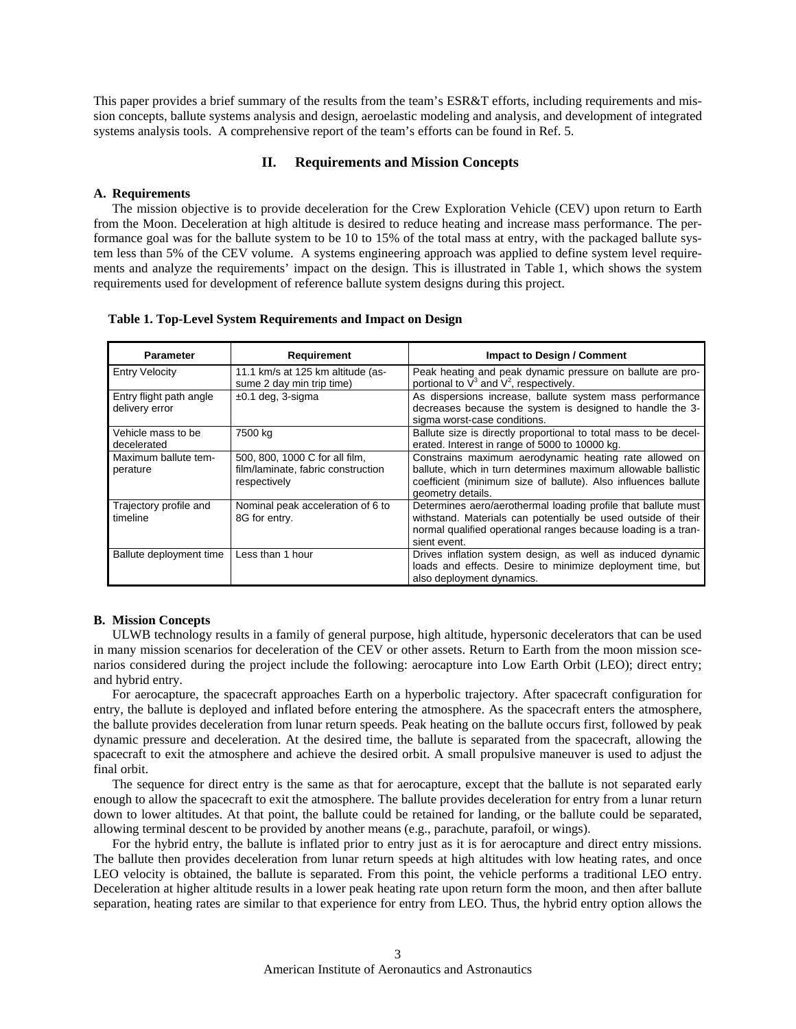This paper provides a brief summary of the results from the team's ESR&T efforts, including requirements and mission concepts, ballute systems analysis and design, aeroelastic modeling and analysis, and development of integrated systems analysis tools. A comprehensive report of the team's efforts can be found in Ref. 5.

## **II. Requirements and Mission Concepts**

## **A. Requirements**

The mission objective is to provide deceleration for the Crew Exploration Vehicle (CEV) upon return to Earth from the Moon. Deceleration at high altitude is desired to reduce heating and increase mass performance. The performance goal was for the ballute system to be 10 to 15% of the total mass at entry, with the packaged ballute system less than 5% of the CEV volume. A systems engineering approach was applied to define system level requirements and analyze the requirements' impact on the design. This is illustrated in Table 1, which shows the system requirements used for development of reference ballute system designs during this project.

| <b>Parameter</b>                          | Requirement                                                                          | <b>Impact to Design / Comment</b>                                                                                                                                                                                |
|-------------------------------------------|--------------------------------------------------------------------------------------|------------------------------------------------------------------------------------------------------------------------------------------------------------------------------------------------------------------|
| <b>Entry Velocity</b>                     | 11.1 km/s at 125 km altitude (as-<br>sume 2 day min trip time)                       | Peak heating and peak dynamic pressure on ballute are pro-<br>portional to $\overline{V}^3$ and $\overline{V}^2$ , respectively.                                                                                 |
| Entry flight path angle<br>delivery error | $±0.1$ deg, 3-sigma                                                                  | As dispersions increase, ballute system mass performance<br>decreases because the system is designed to handle the 3-<br>sigma worst-case conditions.                                                            |
| Vehicle mass to be<br>decelerated         | 7500 kg                                                                              | Ballute size is directly proportional to total mass to be decel-<br>erated. Interest in range of 5000 to 10000 kg.                                                                                               |
| Maximum ballute tem-<br>perature          | 500, 800, 1000 C for all film,<br>film/laminate, fabric construction<br>respectively | Constrains maximum aerodynamic heating rate allowed on<br>ballute, which in turn determines maximum allowable ballistic<br>coefficient (minimum size of ballute). Also influences ballute<br>geometry details.   |
| Trajectory profile and<br>timeline        | Nominal peak acceleration of 6 to<br>8G for entry.                                   | Determines aero/aerothermal loading profile that ballute must<br>withstand. Materials can potentially be used outside of their<br>normal qualified operational ranges because loading is a tran-<br>sient event. |
| Ballute deployment time                   | Less than 1 hour                                                                     | Drives inflation system design, as well as induced dynamic<br>loads and effects. Desire to minimize deployment time, but<br>also deployment dynamics.                                                            |

## **Table 1. Top-Level System Requirements and Impact on Design**

## **B. Mission Concepts**

ULWB technology results in a family of general purpose, high altitude, hypersonic decelerators that can be used in many mission scenarios for deceleration of the CEV or other assets. Return to Earth from the moon mission scenarios considered during the project include the following: aerocapture into Low Earth Orbit (LEO); direct entry; and hybrid entry.

For aerocapture, the spacecraft approaches Earth on a hyperbolic trajectory. After spacecraft configuration for entry, the ballute is deployed and inflated before entering the atmosphere. As the spacecraft enters the atmosphere, the ballute provides deceleration from lunar return speeds. Peak heating on the ballute occurs first, followed by peak dynamic pressure and deceleration. At the desired time, the ballute is separated from the spacecraft, allowing the spacecraft to exit the atmosphere and achieve the desired orbit. A small propulsive maneuver is used to adjust the final orbit.

The sequence for direct entry is the same as that for aerocapture, except that the ballute is not separated early enough to allow the spacecraft to exit the atmosphere. The ballute provides deceleration for entry from a lunar return down to lower altitudes. At that point, the ballute could be retained for landing, or the ballute could be separated, allowing terminal descent to be provided by another means (e.g., parachute, parafoil, or wings).

For the hybrid entry, the ballute is inflated prior to entry just as it is for aerocapture and direct entry missions. The ballute then provides deceleration from lunar return speeds at high altitudes with low heating rates, and once LEO velocity is obtained, the ballute is separated. From this point, the vehicle performs a traditional LEO entry. Deceleration at higher altitude results in a lower peak heating rate upon return form the moon, and then after ballute separation, heating rates are similar to that experience for entry from LEO. Thus, the hybrid entry option allows the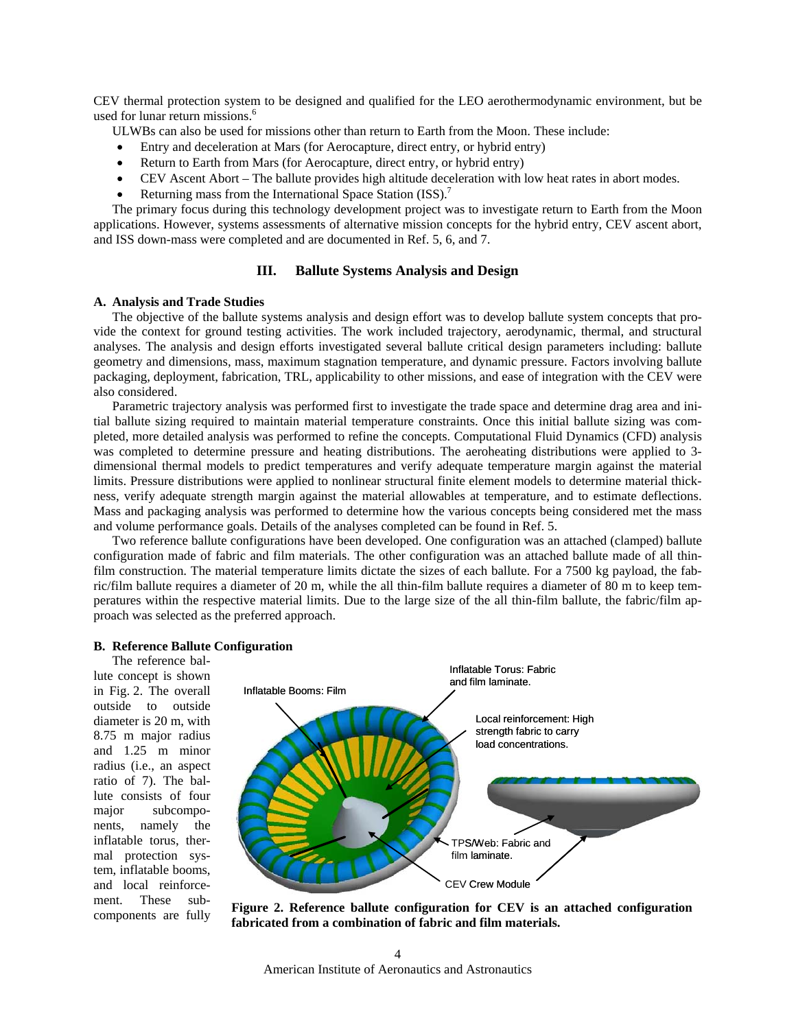CEV thermal protection system to be designed and qualified for the LEO aerothermodynamic environment, but be used for lunar return missions.<sup>6</sup>

ULWBs can also be used for missions other than return to Earth from the Moon. These include:

- Entry and deceleration at Mars (for Aerocapture, direct entry, or hybrid entry)
- Return to Earth from Mars (for Aerocapture, direct entry, or hybrid entry)
- CEV Ascent Abort The ballute provides high altitude deceleration with low heat rates in abort modes.
- Returning mass from the International Space Station (ISS).<sup>7</sup>

The primary focus during this technology development project was to investigate return to Earth from the Moon applications. However, systems assessments of alternative mission concepts for the hybrid entry, CEV ascent abort, and ISS down-mass were completed and are documented in Ref. 5, 6, and 7.

## **III. Ballute Systems Analysis and Design**

## **A. Analysis and Trade Studies**

The objective of the ballute systems analysis and design effort was to develop ballute system concepts that provide the context for ground testing activities. The work included trajectory, aerodynamic, thermal, and structural analyses. The analysis and design efforts investigated several ballute critical design parameters including: ballute geometry and dimensions, mass, maximum stagnation temperature, and dynamic pressure. Factors involving ballute packaging, deployment, fabrication, TRL, applicability to other missions, and ease of integration with the CEV were also considered.

Parametric trajectory analysis was performed first to investigate the trade space and determine drag area and initial ballute sizing required to maintain material temperature constraints. Once this initial ballute sizing was completed, more detailed analysis was performed to refine the concepts. Computational Fluid Dynamics (CFD) analysis was completed to determine pressure and heating distributions. The aeroheating distributions were applied to 3 dimensional thermal models to predict temperatures and verify adequate temperature margin against the material limits. Pressure distributions were applied to nonlinear structural finite element models to determine material thickness, verify adequate strength margin against the material allowables at temperature, and to estimate deflections. Mass and packaging analysis was performed to determine how the various concepts being considered met the mass and volume performance goals. Details of the analyses completed can be found in Ref. 5.

Two reference ballute configurations have been developed. One configuration was an attached (clamped) ballute configuration made of fabric and film materials. The other configuration was an attached ballute made of all thinfilm construction. The material temperature limits dictate the sizes of each ballute. For a 7500 kg payload, the fabric/film ballute requires a diameter of 20 m, while the all thin-film ballute requires a diameter of 80 m to keep temperatures within the respective material limits. Due to the large size of the all thin-film ballute, the fabric/film approach was selected as the preferred approach.

## **B. Reference Ballute Configuration**

The reference ballute concept is shown in Fig. 2. The overall outside to outside diameter is 20 m, with 8.75 m major radius and 1.25 m minor radius (i.e., an aspect ratio of 7). The ballute consists of four major subcomponents, namely the inflatable torus, thermal protection system, inflatable booms, and local reinforcement. These subcomponents are fully



**Figure 2. Reference ballute configuration for CEV is an attached configuration fabricated from a combination of fabric and film materials.**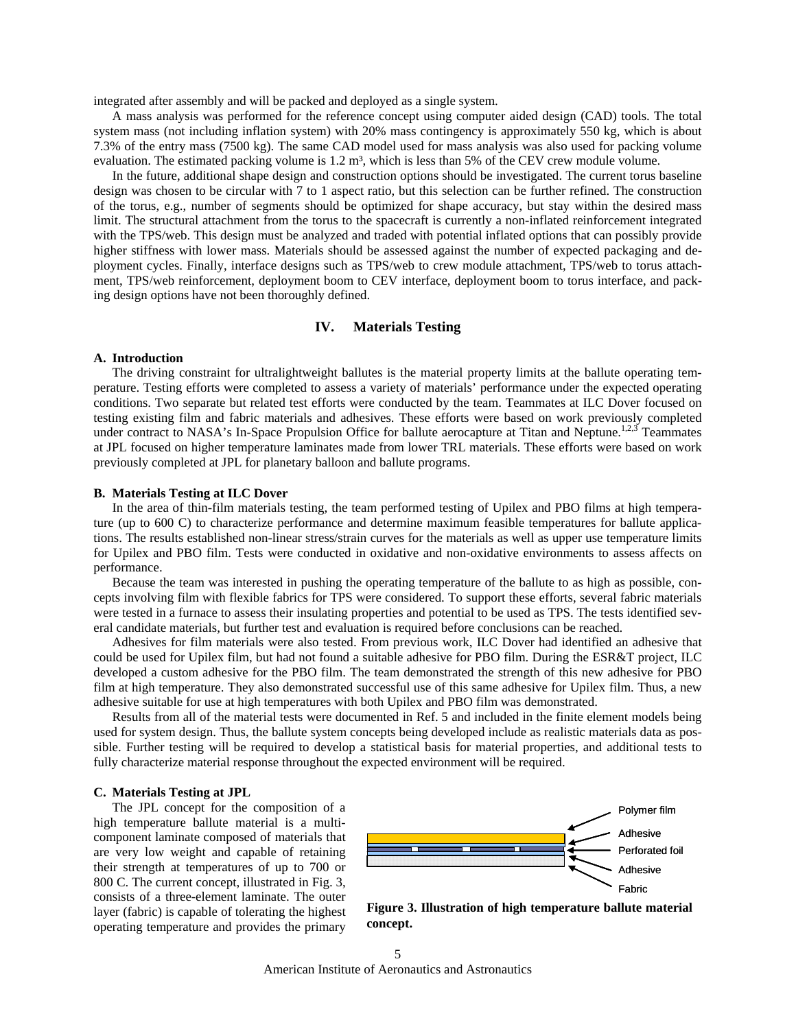integrated after assembly and will be packed and deployed as a single system.

A mass analysis was performed for the reference concept using computer aided design (CAD) tools. The total system mass (not including inflation system) with 20% mass contingency is approximately 550 kg, which is about 7.3% of the entry mass (7500 kg). The same CAD model used for mass analysis was also used for packing volume evaluation. The estimated packing volume is  $1.2 \text{ m}^3$ , which is less than 5% of the CEV crew module volume.

In the future, additional shape design and construction options should be investigated. The current torus baseline design was chosen to be circular with 7 to 1 aspect ratio, but this selection can be further refined. The construction of the torus, e.g., number of segments should be optimized for shape accuracy, but stay within the desired mass limit. The structural attachment from the torus to the spacecraft is currently a non-inflated reinforcement integrated with the TPS/web. This design must be analyzed and traded with potential inflated options that can possibly provide higher stiffness with lower mass. Materials should be assessed against the number of expected packaging and deployment cycles. Finally, interface designs such as TPS/web to crew module attachment, TPS/web to torus attachment, TPS/web reinforcement, deployment boom to CEV interface, deployment boom to torus interface, and packing design options have not been thoroughly defined.

### **IV. Materials Testing**

#### **A. Introduction**

The driving constraint for ultralightweight ballutes is the material property limits at the ballute operating temperature. Testing efforts were completed to assess a variety of materials' performance under the expected operating conditions. Two separate but related test efforts were conducted by the team. Teammates at ILC Dover focused on testing existing film and fabric materials and adhesives. These efforts were based on work previously completed under contract to NASA's In-Space Propulsion Office for ballute aerocapture at Titan and Neptune.<sup>1,2,3</sup> Teammates at JPL focused on higher temperature laminates made from lower TRL materials. These efforts were based on work previously completed at JPL for planetary balloon and ballute programs.

#### **B. Materials Testing at ILC Dover**

In the area of thin-film materials testing, the team performed testing of Upilex and PBO films at high temperature (up to 600 C) to characterize performance and determine maximum feasible temperatures for ballute applications. The results established non-linear stress/strain curves for the materials as well as upper use temperature limits for Upilex and PBO film. Tests were conducted in oxidative and non-oxidative environments to assess affects on performance.

Because the team was interested in pushing the operating temperature of the ballute to as high as possible, concepts involving film with flexible fabrics for TPS were considered. To support these efforts, several fabric materials were tested in a furnace to assess their insulating properties and potential to be used as TPS. The tests identified several candidate materials, but further test and evaluation is required before conclusions can be reached.

Adhesives for film materials were also tested. From previous work, ILC Dover had identified an adhesive that could be used for Upilex film, but had not found a suitable adhesive for PBO film. During the ESR&T project, ILC developed a custom adhesive for the PBO film. The team demonstrated the strength of this new adhesive for PBO film at high temperature. They also demonstrated successful use of this same adhesive for Upilex film. Thus, a new adhesive suitable for use at high temperatures with both Upilex and PBO film was demonstrated.

Results from all of the material tests were documented in Ref. 5 and included in the finite element models being used for system design. Thus, the ballute system concepts being developed include as realistic materials data as possible. Further testing will be required to develop a statistical basis for material properties, and additional tests to fully characterize material response throughout the expected environment will be required.

### **C. Materials Testing at JPL**

The JPL concept for the composition of a high temperature ballute material is a multicomponent laminate composed of materials that are very low weight and capable of retaining their strength at temperatures of up to 700 or 800 C. The current concept, illustrated in Fig. 3, consists of a three-element laminate. The outer layer (fabric) is capable of tolerating the highest operating temperature and provides the primary



**Figure 3. Illustration of high temperature ballute material concept.**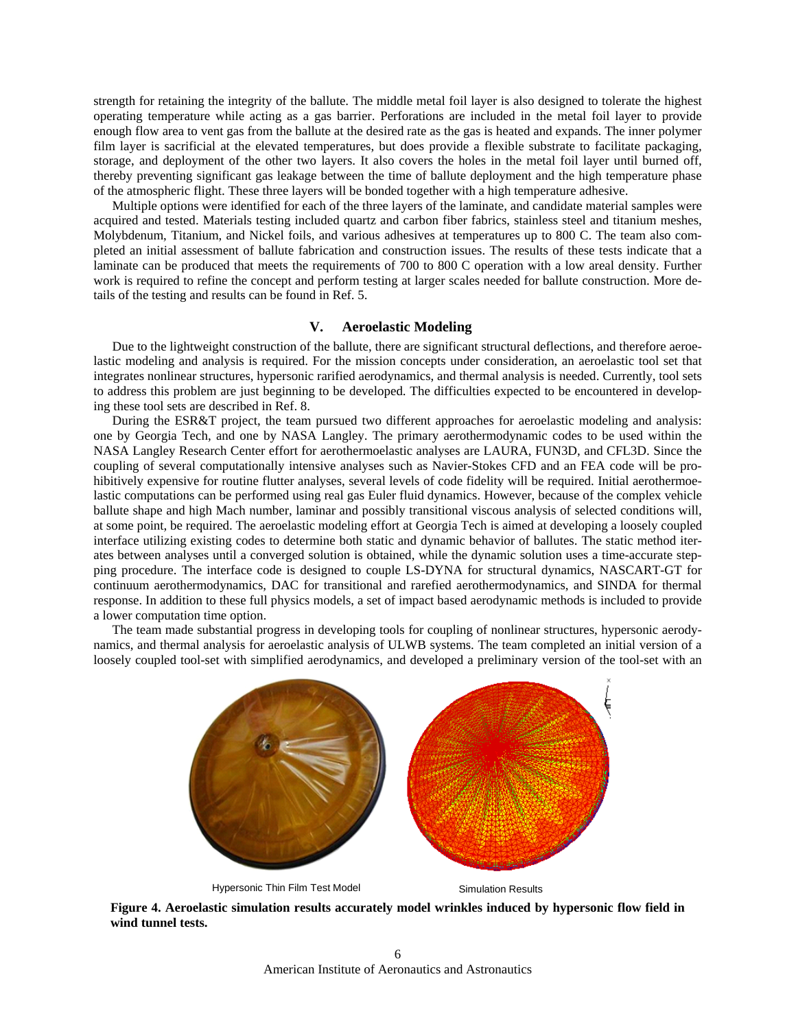strength for retaining the integrity of the ballute. The middle metal foil layer is also designed to tolerate the highest operating temperature while acting as a gas barrier. Perforations are included in the metal foil layer to provide enough flow area to vent gas from the ballute at the desired rate as the gas is heated and expands. The inner polymer film layer is sacrificial at the elevated temperatures, but does provide a flexible substrate to facilitate packaging, storage, and deployment of the other two layers. It also covers the holes in the metal foil layer until burned off, thereby preventing significant gas leakage between the time of ballute deployment and the high temperature phase of the atmospheric flight. These three layers will be bonded together with a high temperature adhesive.

Multiple options were identified for each of the three layers of the laminate, and candidate material samples were acquired and tested. Materials testing included quartz and carbon fiber fabrics, stainless steel and titanium meshes, Molybdenum, Titanium, and Nickel foils, and various adhesives at temperatures up to 800 C. The team also completed an initial assessment of ballute fabrication and construction issues. The results of these tests indicate that a laminate can be produced that meets the requirements of 700 to 800 C operation with a low areal density. Further work is required to refine the concept and perform testing at larger scales needed for ballute construction. More details of the testing and results can be found in Ref. 5.

### **V. Aeroelastic Modeling**

Due to the lightweight construction of the ballute, there are significant structural deflections, and therefore aeroelastic modeling and analysis is required. For the mission concepts under consideration, an aeroelastic tool set that integrates nonlinear structures, hypersonic rarified aerodynamics, and thermal analysis is needed. Currently, tool sets to address this problem are just beginning to be developed. The difficulties expected to be encountered in developing these tool sets are described in Ref. 8.

During the ESR&T project, the team pursued two different approaches for aeroelastic modeling and analysis: one by Georgia Tech, and one by NASA Langley. The primary aerothermodynamic codes to be used within the NASA Langley Research Center effort for aerothermoelastic analyses are LAURA, FUN3D, and CFL3D. Since the coupling of several computationally intensive analyses such as Navier-Stokes CFD and an FEA code will be prohibitively expensive for routine flutter analyses, several levels of code fidelity will be required. Initial aerothermoelastic computations can be performed using real gas Euler fluid dynamics. However, because of the complex vehicle ballute shape and high Mach number, laminar and possibly transitional viscous analysis of selected conditions will, at some point, be required. The aeroelastic modeling effort at Georgia Tech is aimed at developing a loosely coupled interface utilizing existing codes to determine both static and dynamic behavior of ballutes. The static method iterates between analyses until a converged solution is obtained, while the dynamic solution uses a time-accurate stepping procedure. The interface code is designed to couple LS-DYNA for structural dynamics, NASCART-GT for continuum aerothermodynamics, DAC for transitional and rarefied aerothermodynamics, and SINDA for thermal response. In addition to these full physics models, a set of impact based aerodynamic methods is included to provide a lower computation time option.

The team made substantial progress in developing tools for coupling of nonlinear structures, hypersonic aerodynamics, and thermal analysis for aeroelastic analysis of ULWB systems. The team completed an initial version of a loosely coupled tool-set with simplified aerodynamics, and developed a preliminary version of the tool-set with an



Hypersonic Thin Film Test Model Simulation Results

**Figure 4. Aeroelastic simulation results accurately model wrinkles induced by hypersonic flow field in wind tunnel tests.**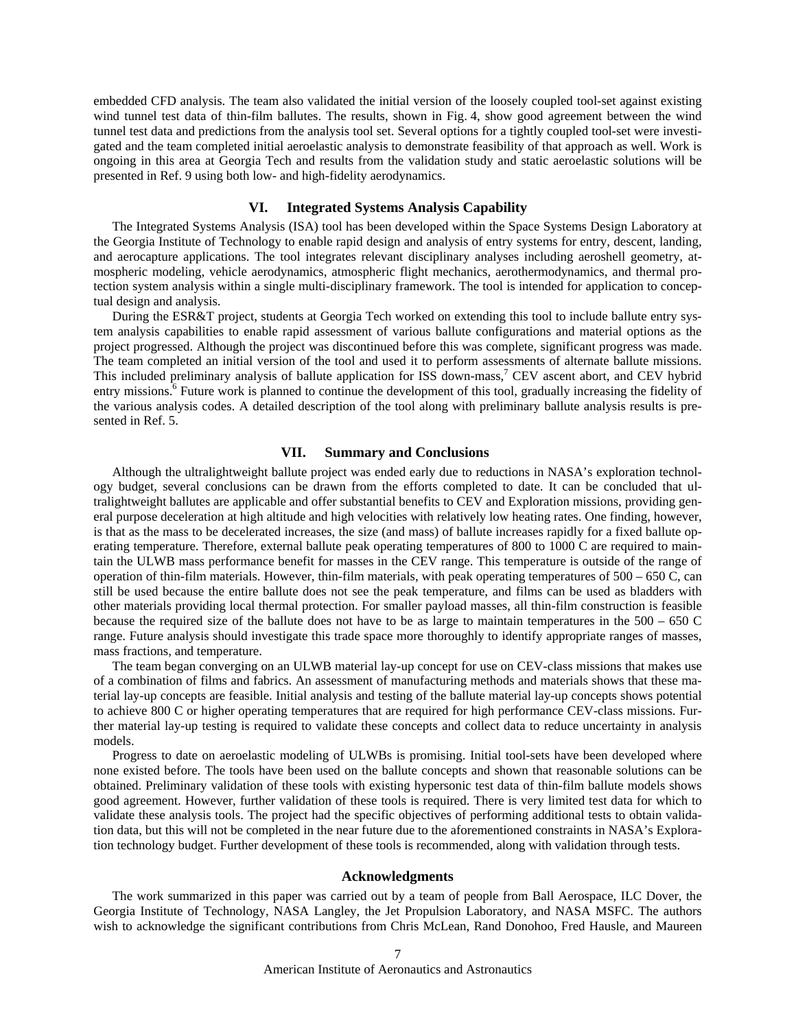embedded CFD analysis. The team also validated the initial version of the loosely coupled tool-set against existing wind tunnel test data of thin-film ballutes. The results, shown in Fig. 4, show good agreement between the wind tunnel test data and predictions from the analysis tool set. Several options for a tightly coupled tool-set were investigated and the team completed initial aeroelastic analysis to demonstrate feasibility of that approach as well. Work is ongoing in this area at Georgia Tech and results from the validation study and static aeroelastic solutions will be presented in Ref. 9 using both low- and high-fidelity aerodynamics.

## **VI. Integrated Systems Analysis Capability**

The Integrated Systems Analysis (ISA) tool has been developed within the Space Systems Design Laboratory at the Georgia Institute of Technology to enable rapid design and analysis of entry systems for entry, descent, landing, and aerocapture applications. The tool integrates relevant disciplinary analyses including aeroshell geometry, atmospheric modeling, vehicle aerodynamics, atmospheric flight mechanics, aerothermodynamics, and thermal protection system analysis within a single multi-disciplinary framework. The tool is intended for application to conceptual design and analysis.

During the ESR&T project, students at Georgia Tech worked on extending this tool to include ballute entry system analysis capabilities to enable rapid assessment of various ballute configurations and material options as the project progressed. Although the project was discontinued before this was complete, significant progress was made. The team completed an initial version of the tool and used it to perform assessments of alternate ballute missions. This included preliminary analysis of ballute application for ISS down-mass,<sup>7</sup> CEV ascent abort, and CEV hybrid entry missions.<sup>6</sup> Future work is planned to continue the development of this tool, gradually increasing the fidelity of the various analysis codes. A detailed description of the tool along with preliminary ballute analysis results is presented in Ref. 5.

## **VII. Summary and Conclusions**

Although the ultralightweight ballute project was ended early due to reductions in NASA's exploration technology budget, several conclusions can be drawn from the efforts completed to date. It can be concluded that ultralightweight ballutes are applicable and offer substantial benefits to CEV and Exploration missions, providing general purpose deceleration at high altitude and high velocities with relatively low heating rates. One finding, however, is that as the mass to be decelerated increases, the size (and mass) of ballute increases rapidly for a fixed ballute operating temperature. Therefore, external ballute peak operating temperatures of 800 to 1000 C are required to maintain the ULWB mass performance benefit for masses in the CEV range. This temperature is outside of the range of operation of thin-film materials. However, thin-film materials, with peak operating temperatures of  $500 - 650$  C, can still be used because the entire ballute does not see the peak temperature, and films can be used as bladders with other materials providing local thermal protection. For smaller payload masses, all thin-film construction is feasible because the required size of the ballute does not have to be as large to maintain temperatures in the 500 – 650 C range. Future analysis should investigate this trade space more thoroughly to identify appropriate ranges of masses, mass fractions, and temperature.

The team began converging on an ULWB material lay-up concept for use on CEV-class missions that makes use of a combination of films and fabrics. An assessment of manufacturing methods and materials shows that these material lay-up concepts are feasible. Initial analysis and testing of the ballute material lay-up concepts shows potential to achieve 800 C or higher operating temperatures that are required for high performance CEV-class missions. Further material lay-up testing is required to validate these concepts and collect data to reduce uncertainty in analysis models.

Progress to date on aeroelastic modeling of ULWBs is promising. Initial tool-sets have been developed where none existed before. The tools have been used on the ballute concepts and shown that reasonable solutions can be obtained. Preliminary validation of these tools with existing hypersonic test data of thin-film ballute models shows good agreement. However, further validation of these tools is required. There is very limited test data for which to validate these analysis tools. The project had the specific objectives of performing additional tests to obtain validation data, but this will not be completed in the near future due to the aforementioned constraints in NASA's Exploration technology budget. Further development of these tools is recommended, along with validation through tests.

#### **Acknowledgments**

The work summarized in this paper was carried out by a team of people from Ball Aerospace, ILC Dover, the Georgia Institute of Technology, NASA Langley, the Jet Propulsion Laboratory, and NASA MSFC. The authors wish to acknowledge the significant contributions from Chris McLean, Rand Donohoo, Fred Hausle, and Maureen